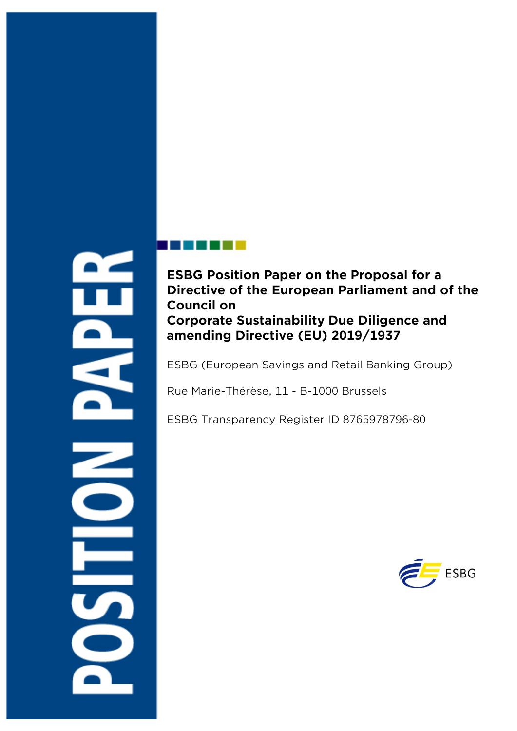# **ESBG Position Paper on the Proposal for a Directive of the European Parliament and of the Council on Corporate Sustainability Due Diligence and amending Directive (EU) 2019/1937**

ESBG (European Savings and Retail Banking Group)

Rue Marie-Thérèse, 11 - B-1000 Brussels

ESBG Transparency Register ID 8765978796-80

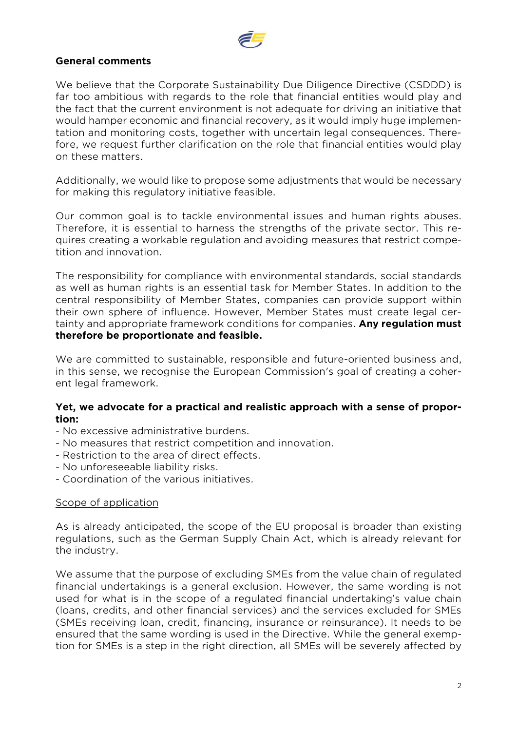

# **General comments**

We believe that the Corporate Sustainability Due Diligence Directive (CSDDD) is far too ambitious with regards to the role that financial entities would play and the fact that the current environment is not adequate for driving an initiative that would hamper economic and financial recovery, as it would imply huge implementation and monitoring costs, together with uncertain legal consequences. Therefore, we request further clarification on the role that financial entities would play on these matters.

Additionally, we would like to propose some adjustments that would be necessary for making this regulatory initiative feasible.

Our common goal is to tackle environmental issues and human rights abuses. Therefore, it is essential to harness the strengths of the private sector. This requires creating a workable regulation and avoiding measures that restrict competition and innovation.

The responsibility for compliance with environmental standards, social standards as well as human rights is an essential task for Member States. In addition to the central responsibility of Member States, companies can provide support within their own sphere of influence. However, Member States must create legal certainty and appropriate framework conditions for companies. **Any regulation must therefore be proportionate and feasible.**

We are committed to sustainable, responsible and future-oriented business and, in this sense, we recognise the European Commission's goal of creating a coherent legal framework.

#### **Yet, we advocate for a practical and realistic approach with a sense of proportion:**

- No excessive administrative burdens.
- No measures that restrict competition and innovation.
- Restriction to the area of direct effects.
- No unforeseeable liability risks.
- Coordination of the various initiatives.

#### Scope of application

As is already anticipated, the scope of the EU proposal is broader than existing regulations, such as the German Supply Chain Act, which is already relevant for the industry.

We assume that the purpose of excluding SMEs from the value chain of regulated financial undertakings is a general exclusion. However, the same wording is not used for what is in the scope of a regulated financial undertaking's value chain (loans, credits, and other financial services) and the services excluded for SMEs (SMEs receiving loan, credit, financing, insurance or reinsurance). It needs to be ensured that the same wording is used in the Directive. While the general exemption for SMEs is a step in the right direction, all SMEs will be severely affected by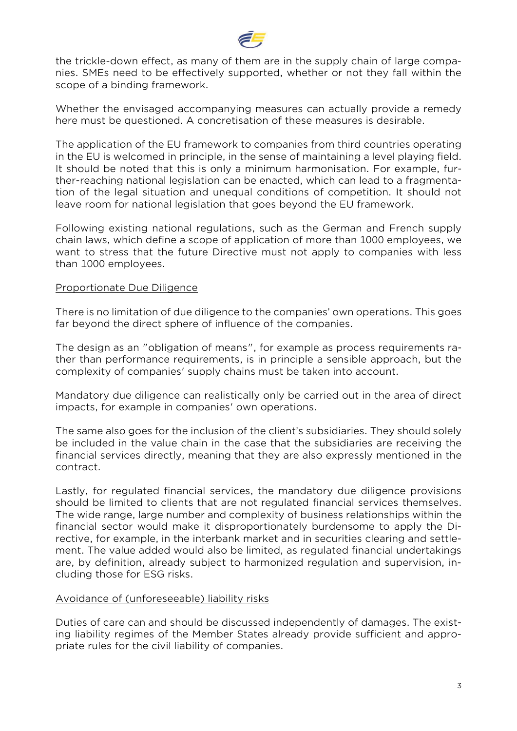

the trickle-down effect, as many of them are in the supply chain of large companies. SMEs need to be effectively supported, whether or not they fall within the scope of a binding framework.

Whether the envisaged accompanying measures can actually provide a remedy here must be questioned. A concretisation of these measures is desirable.

The application of the EU framework to companies from third countries operating in the EU is welcomed in principle, in the sense of maintaining a level playing field. It should be noted that this is only a minimum harmonisation. For example, further-reaching national legislation can be enacted, which can lead to a fragmentation of the legal situation and unequal conditions of competition. It should not leave room for national legislation that goes beyond the EU framework.

Following existing national regulations, such as the German and French supply chain laws, which define a scope of application of more than 1000 employees, we want to stress that the future Directive must not apply to companies with less than 1000 employees.

#### Proportionate Due Diligence

There is no limitation of due diligence to the companies' own operations. This goes far beyond the direct sphere of influence of the companies.

The design as an "obligation of means", for example as process requirements rather than performance requirements, is in principle a sensible approach, but the complexity of companies' supply chains must be taken into account.

Mandatory due diligence can realistically only be carried out in the area of direct impacts, for example in companies' own operations.

The same also goes for the inclusion of the client's subsidiaries. They should solely be included in the value chain in the case that the subsidiaries are receiving the financial services directly, meaning that they are also expressly mentioned in the contract.

Lastly, for regulated financial services, the mandatory due diligence provisions should be limited to clients that are not regulated financial services themselves. The wide range, large number and complexity of business relationships within the financial sector would make it disproportionately burdensome to apply the Directive, for example, in the interbank market and in securities clearing and settlement. The value added would also be limited, as regulated financial undertakings are, by definition, already subject to harmonized regulation and supervision, including those for ESG risks.

#### Avoidance of (unforeseeable) liability risks

Duties of care can and should be discussed independently of damages. The existing liability regimes of the Member States already provide sufficient and appropriate rules for the civil liability of companies.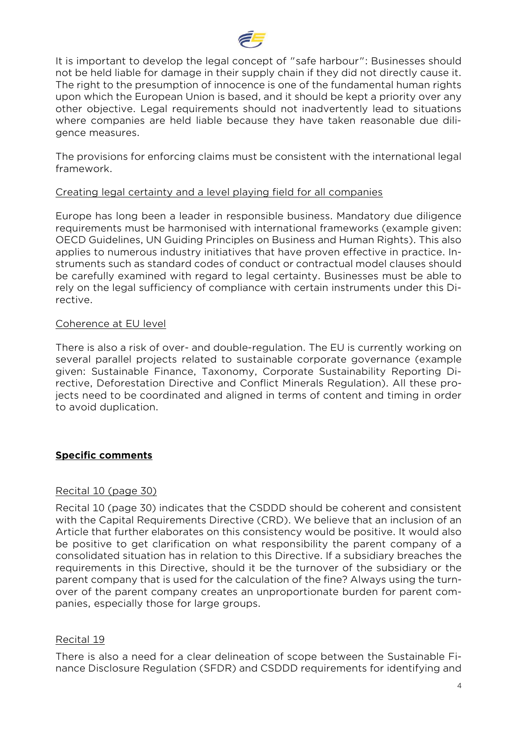

It is important to develop the legal concept of "safe harbour": Businesses should not be held liable for damage in their supply chain if they did not directly cause it. The right to the presumption of innocence is one of the fundamental human rights upon which the European Union is based, and it should be kept a priority over any other objective. Legal requirements should not inadvertently lead to situations where companies are held liable because they have taken reasonable due diligence measures.

The provisions for enforcing claims must be consistent with the international legal framework.

#### Creating legal certainty and a level playing field for all companies

Europe has long been a leader in responsible business. Mandatory due diligence requirements must be harmonised with international frameworks (example given: OECD Guidelines, UN Guiding Principles on Business and Human Rights). This also applies to numerous industry initiatives that have proven effective in practice. Instruments such as standard codes of conduct or contractual model clauses should be carefully examined with regard to legal certainty. Businesses must be able to rely on the legal sufficiency of compliance with certain instruments under this Directive.

#### Coherence at EU level

There is also a risk of over- and double-regulation. The EU is currently working on several parallel projects related to sustainable corporate governance (example given: Sustainable Finance, Taxonomy, Corporate Sustainability Reporting Directive, Deforestation Directive and Conflict Minerals Regulation). All these projects need to be coordinated and aligned in terms of content and timing in order to avoid duplication.

#### **Specific comments**

#### Recital 10 (page 30)

Recital 10 (page 30) indicates that the CSDDD should be coherent and consistent with the Capital Requirements Directive (CRD). We believe that an inclusion of an Article that further elaborates on this consistency would be positive. It would also be positive to get clarification on what responsibility the parent company of a consolidated situation has in relation to this Directive. If a subsidiary breaches the requirements in this Directive, should it be the turnover of the subsidiary or the parent company that is used for the calculation of the fine? Always using the turnover of the parent company creates an unproportionate burden for parent companies, especially those for large groups.

#### Recital 19

There is also a need for a clear delineation of scope between the Sustainable Finance Disclosure Regulation (SFDR) and CSDDD requirements for identifying and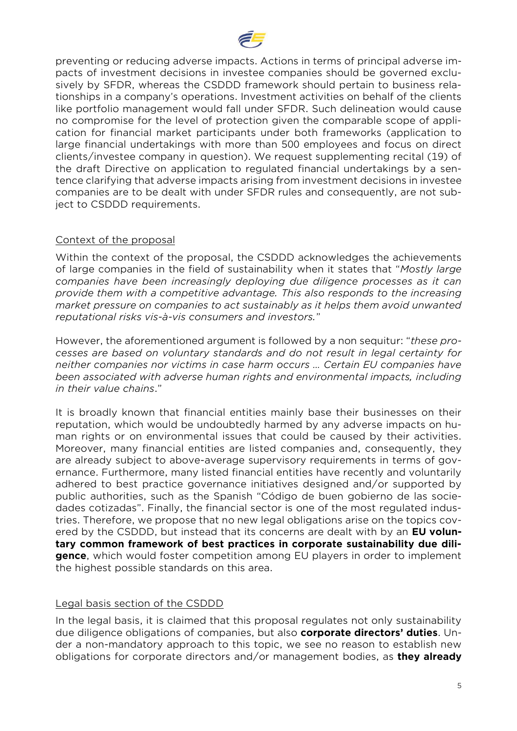

preventing or reducing adverse impacts. Actions in terms of principal adverse impacts of investment decisions in investee companies should be governed exclusively by SFDR, whereas the CSDDD framework should pertain to business relationships in a company's operations. Investment activities on behalf of the clients like portfolio management would fall under SFDR. Such delineation would cause no compromise for the level of protection given the comparable scope of application for financial market participants under both frameworks (application to large financial undertakings with more than 500 employees and focus on direct clients/investee company in question). We request supplementing recital (19) of the draft Directive on application to regulated financial undertakings by a sentence clarifying that adverse impacts arising from investment decisions in investee companies are to be dealt with under SFDR rules and consequently, are not subject to CSDDD requirements.

# Context of the proposal

Within the context of the proposal, the CSDDD acknowledges the achievements of large companies in the field of sustainability when it states that "*Mostly large companies have been increasingly deploying due diligence processes as it can provide them with a competitive advantage. This also responds to the increasing market pressure on companies to act sustainably as it helps them avoid unwanted reputational risks vis-à-vis consumers and investors.*"

However, the aforementioned argument is followed by a non sequitur: "*these processes are based on voluntary standards and do not result in legal certainty for neither companies nor victims in case harm occurs … Certain EU companies have been associated with adverse human rights and environmental impacts, including in their value chains*."

It is broadly known that financial entities mainly base their businesses on their reputation, which would be undoubtedly harmed by any adverse impacts on human rights or on environmental issues that could be caused by their activities. Moreover, many financial entities are listed companies and, consequently, they are already subject to above-average supervisory requirements in terms of governance. Furthermore, many listed financial entities have recently and voluntarily adhered to best practice governance initiatives designed and/or supported by public authorities, such as the Spanish "Código de buen gobierno de las sociedades cotizadas". Finally, the financial sector is one of the most regulated industries. Therefore, we propose that no new legal obligations arise on the topics covered by the CSDDD, but instead that its concerns are dealt with by an **EU voluntary common framework of best practices in corporate sustainability due diligence**, which would foster competition among EU players in order to implement the highest possible standards on this area.

#### Legal basis section of the CSDDD

In the legal basis, it is claimed that this proposal regulates not only sustainability due diligence obligations of companies, but also **corporate directors' duties**. Under a non-mandatory approach to this topic, we see no reason to establish new obligations for corporate directors and/or management bodies, as **they already**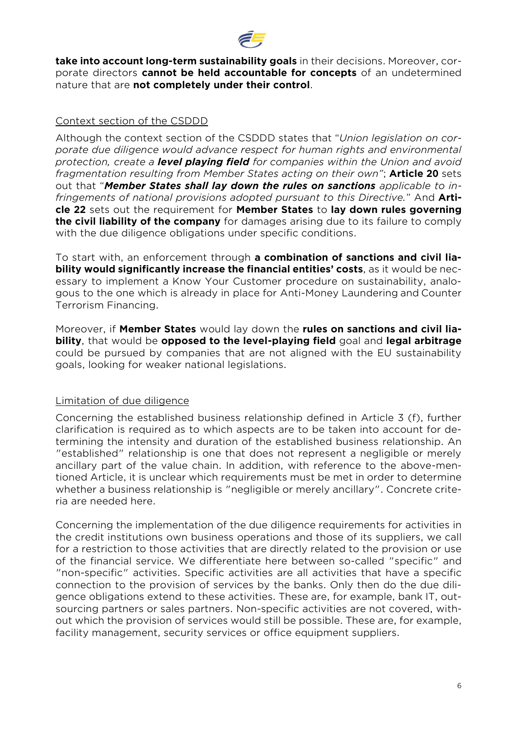

**take into account long-term sustainability goals** in their decisions. Moreover, corporate directors **cannot be held accountable for concepts** of an undetermined nature that are **not completely under their control**.

# Context section of the CSDDD

Although the context section of the CSDDD states that "*Union legislation on corporate due diligence would advance respect for human rights and environmental protection, create a level playing field for companies within the Union and avoid fragmentation resulting from Member States acting on their own"*; **Article 20** sets out that "*Member States shall lay down the rules on sanctions applicable to infringements of national provisions adopted pursuant to this Directive.*" And **Article 22** sets out the requirement for **Member States** to **lay down rules governing the civil liability of the company** for damages arising due to its failure to comply with the due diligence obligations under specific conditions.

To start with, an enforcement through **a combination of sanctions and civil liability would significantly increase the financial entities' costs**, as it would be necessary to implement a Know Your Customer procedure on sustainability, analogous to the one which is already in place for Anti-Money Laundering and Counter Terrorism Financing.

Moreover, if **Member States** would lay down the **rules on sanctions and civil liability**, that would be **opposed to the level-playing field** goal and **legal arbitrage** could be pursued by companies that are not aligned with the EU sustainability goals, looking for weaker national legislations.

# Limitation of due diligence

Concerning the established business relationship defined in Article 3 (f), further clarification is required as to which aspects are to be taken into account for determining the intensity and duration of the established business relationship. An "established" relationship is one that does not represent a negligible or merely ancillary part of the value chain. In addition, with reference to the above-mentioned Article, it is unclear which requirements must be met in order to determine whether a business relationship is "negligible or merely ancillary". Concrete criteria are needed here.

Concerning the implementation of the due diligence requirements for activities in the credit institutions own business operations and those of its suppliers, we call for a restriction to those activities that are directly related to the provision or use of the financial service. We differentiate here between so-called "specific" and "non-specific" activities. Specific activities are all activities that have a specific connection to the provision of services by the banks. Only then do the due diligence obligations extend to these activities. These are, for example, bank IT, outsourcing partners or sales partners. Non-specific activities are not covered, without which the provision of services would still be possible. These are, for example, facility management, security services or office equipment suppliers.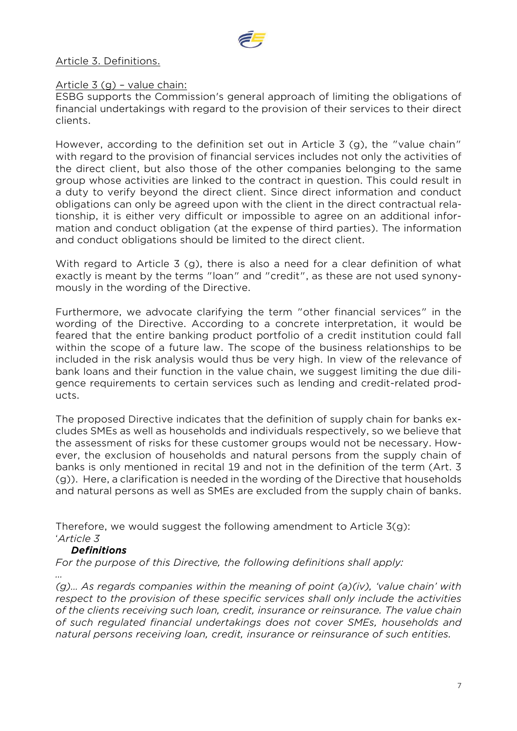

# Article 3. Definitions.

# Article 3 (g) – value chain:

ESBG supports the Commission's general approach of limiting the obligations of financial undertakings with regard to the provision of their services to their direct clients.

However, according to the definition set out in Article 3 (g), the "value chain" with regard to the provision of financial services includes not only the activities of the direct client, but also those of the other companies belonging to the same group whose activities are linked to the contract in question. This could result in a duty to verify beyond the direct client. Since direct information and conduct obligations can only be agreed upon with the client in the direct contractual relationship, it is either very difficult or impossible to agree on an additional information and conduct obligation (at the expense of third parties). The information and conduct obligations should be limited to the direct client.

With regard to Article 3 (g), there is also a need for a clear definition of what exactly is meant by the terms "loan" and "credit", as these are not used synonymously in the wording of the Directive.

Furthermore, we advocate clarifying the term "other financial services" in the wording of the Directive. According to a concrete interpretation, it would be feared that the entire banking product portfolio of a credit institution could fall within the scope of a future law. The scope of the business relationships to be included in the risk analysis would thus be very high. In view of the relevance of bank loans and their function in the value chain, we suggest limiting the due diligence requirements to certain services such as lending and credit-related products.

The proposed Directive indicates that the definition of supply chain for banks excludes SMEs as well as households and individuals respectively, so we believe that the assessment of risks for these customer groups would not be necessary. However, the exclusion of households and natural persons from the supply chain of banks is only mentioned in recital 19 and not in the definition of the term (Art. 3 (g)). Here, a clarification is needed in the wording of the Directive that households and natural persons as well as SMEs are excluded from the supply chain of banks.

Therefore, we would suggest the following amendment to Article 3(g): '*Article 3* 

#### *Definitions*

*For the purpose of this Directive, the following definitions shall apply:*

*…*

*(g)… As regards companies within the meaning of point (a)(iv), 'value chain' with respect to the provision of these specific services shall only include the activities of the clients receiving such loan, credit, insurance or reinsurance. The value chain of such regulated financial undertakings does not cover SMEs, households and natural persons receiving loan, credit, insurance or reinsurance of such entities.*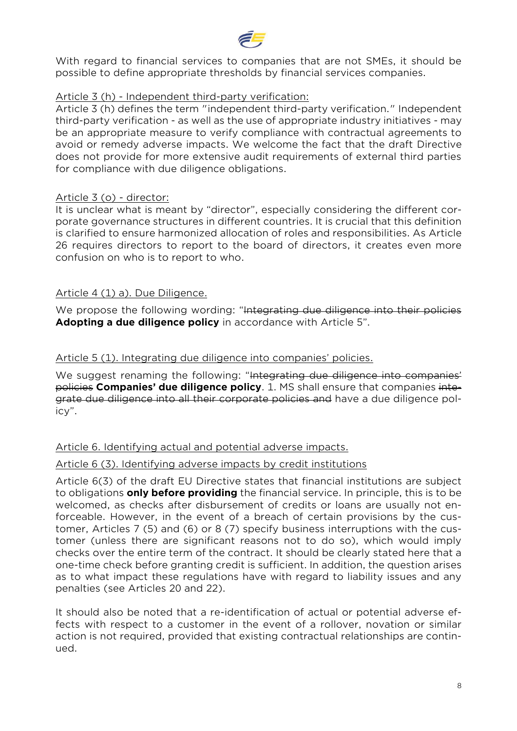

With regard to financial services to companies that are not SMEs, it should be possible to define appropriate thresholds by financial services companies.

#### Article 3 (h) - Independent third-party verification:

Article 3 (h) defines the term "independent third-party verification." Independent third-party verification - as well as the use of appropriate industry initiatives - may be an appropriate measure to verify compliance with contractual agreements to avoid or remedy adverse impacts. We welcome the fact that the draft Directive does not provide for more extensive audit requirements of external third parties for compliance with due diligence obligations.

#### Article 3 (o) - director:

It is unclear what is meant by "director", especially considering the different corporate governance structures in different countries. It is crucial that this definition is clarified to ensure harmonized allocation of roles and responsibilities. As Article 26 requires directors to report to the board of directors, it creates even more confusion on who is to report to who.

#### Article 4 (1) a). Due Diligence.

We propose the following wording: "Integrating due diligence into their policies **Adopting a due diligence policy** in accordance with Article 5".

#### Article 5 (1). Integrating due diligence into companies' policies.

We suggest renaming the following: "Integrating due diligence into companies' policies **Companies' due diligence policy**. 1. MS shall ensure that companies integrate due diligence into all their corporate policies and have a due diligence policy".

#### Article 6. Identifying actual and potential adverse impacts.

#### Article 6 (3). Identifying adverse impacts by credit institutions

Article 6(3) of the draft EU Directive states that financial institutions are subject to obligations **only before providing** the financial service. In principle, this is to be welcomed, as checks after disbursement of credits or loans are usually not enforceable. However, in the event of a breach of certain provisions by the customer, Articles 7 (5) and (6) or 8 (7) specify business interruptions with the customer (unless there are significant reasons not to do so), which would imply checks over the entire term of the contract. It should be clearly stated here that a one-time check before granting credit is sufficient. In addition, the question arises as to what impact these regulations have with regard to liability issues and any penalties (see Articles 20 and 22).

It should also be noted that a re-identification of actual or potential adverse effects with respect to a customer in the event of a rollover, novation or similar action is not required, provided that existing contractual relationships are continued.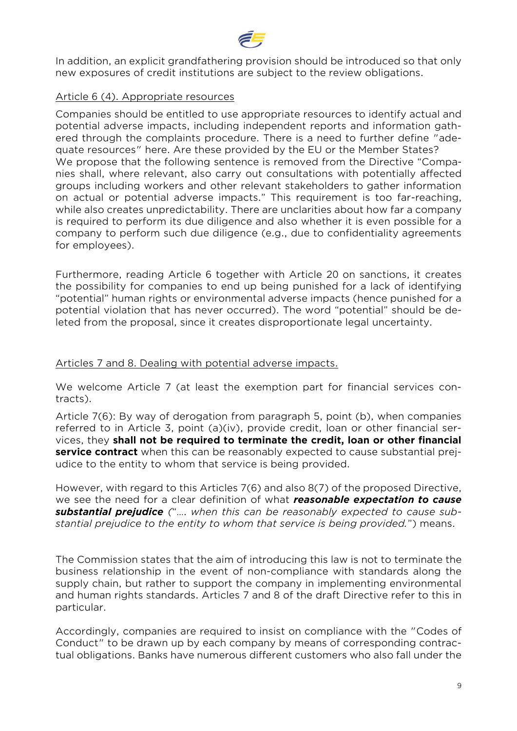

In addition, an explicit grandfathering provision should be introduced so that only new exposures of credit institutions are subject to the review obligations.

### Article 6 (4). Appropriate resources

Companies should be entitled to use appropriate resources to identify actual and potential adverse impacts, including independent reports and information gathered through the complaints procedure. There is a need to further define "adequate resources" here. Are these provided by the EU or the Member States? We propose that the following sentence is removed from the Directive "Companies shall, where relevant, also carry out consultations with potentially affected groups including workers and other relevant stakeholders to gather information on actual or potential adverse impacts." This requirement is too far-reaching, while also creates unpredictability. There are unclarities about how far a company is required to perform its due diligence and also whether it is even possible for a company to perform such due diligence (e.g., due to confidentiality agreements for employees).

Furthermore, reading Article 6 together with Article 20 on sanctions, it creates the possibility for companies to end up being punished for a lack of identifying "potential" human rights or environmental adverse impacts (hence punished for a potential violation that has never occurred). The word "potential" should be deleted from the proposal, since it creates disproportionate legal uncertainty.

# Articles 7 and 8. Dealing with potential adverse impacts.

We welcome Article 7 (at least the exemption part for financial services contracts).

Article 7(6): By way of derogation from paragraph 5, point (b), when companies referred to in Article 3, point (a)(iv), provide credit, loan or other financial services, they **shall not be required to terminate the credit, loan or other financial service contract** when this can be reasonably expected to cause substantial prejudice to the entity to whom that service is being provided.

However, with regard to this Articles 7(6) and also 8(7) of the proposed Directive, we see the need for a clear definition of what *reasonable expectation to cause substantial prejudice (*"…. *when this can be reasonably expected to cause substantial prejudice to the entity to whom that service is being provided.*") means.

The Commission states that the aim of introducing this law is not to terminate the business relationship in the event of non-compliance with standards along the supply chain, but rather to support the company in implementing environmental and human rights standards. Articles 7 and 8 of the draft Directive refer to this in particular.

Accordingly, companies are required to insist on compliance with the "Codes of Conduct" to be drawn up by each company by means of corresponding contractual obligations. Banks have numerous different customers who also fall under the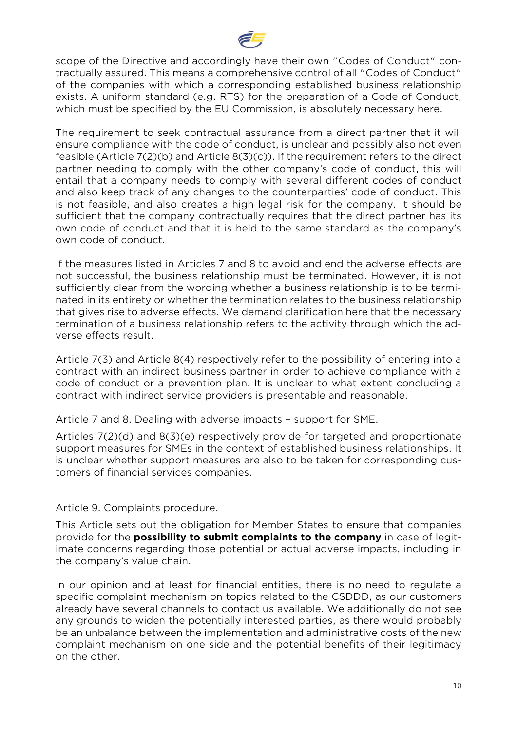

scope of the Directive and accordingly have their own "Codes of Conduct" contractually assured. This means a comprehensive control of all "Codes of Conduct" of the companies with which a corresponding established business relationship exists. A uniform standard (e.g. RTS) for the preparation of a Code of Conduct, which must be specified by the EU Commission, is absolutely necessary here.

The requirement to seek contractual assurance from a direct partner that it will ensure compliance with the code of conduct, is unclear and possibly also not even feasible (Article 7(2)(b) and Article 8(3)(c)). If the requirement refers to the direct partner needing to comply with the other company's code of conduct, this will entail that a company needs to comply with several different codes of conduct and also keep track of any changes to the counterparties' code of conduct. This is not feasible, and also creates a high legal risk for the company. It should be sufficient that the company contractually requires that the direct partner has its own code of conduct and that it is held to the same standard as the company's own code of conduct.

If the measures listed in Articles 7 and 8 to avoid and end the adverse effects are not successful, the business relationship must be terminated. However, it is not sufficiently clear from the wording whether a business relationship is to be terminated in its entirety or whether the termination relates to the business relationship that gives rise to adverse effects. We demand clarification here that the necessary termination of a business relationship refers to the activity through which the adverse effects result.

Article 7(3) and Article 8(4) respectively refer to the possibility of entering into a contract with an indirect business partner in order to achieve compliance with a code of conduct or a prevention plan. It is unclear to what extent concluding a contract with indirect service providers is presentable and reasonable.

#### Article 7 and 8. Dealing with adverse impacts – support for SME.

Articles 7(2)(d) and 8(3)(e) respectively provide for targeted and proportionate support measures for SMEs in the context of established business relationships. It is unclear whether support measures are also to be taken for corresponding customers of financial services companies.

#### Article 9. Complaints procedure.

This Article sets out the obligation for Member States to ensure that companies provide for the **possibility to submit complaints to the company** in case of legitimate concerns regarding those potential or actual adverse impacts, including in the company's value chain.

In our opinion and at least for financial entities, there is no need to regulate a specific complaint mechanism on topics related to the CSDDD, as our customers already have several channels to contact us available. We additionally do not see any grounds to widen the potentially interested parties, as there would probably be an unbalance between the implementation and administrative costs of the new complaint mechanism on one side and the potential benefits of their legitimacy on the other.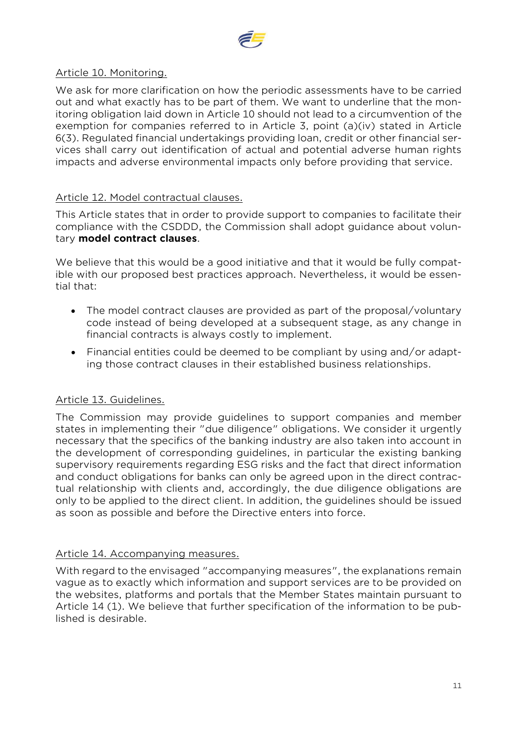

# Article 10. Monitoring.

We ask for more clarification on how the periodic assessments have to be carried out and what exactly has to be part of them. We want to underline that the monitoring obligation laid down in Article 10 should not lead to a circumvention of the exemption for companies referred to in Article 3, point (a)(iv) stated in Article 6(3). Regulated financial undertakings providing loan, credit or other financial services shall carry out identification of actual and potential adverse human rights impacts and adverse environmental impacts only before providing that service.

#### Article 12. Model contractual clauses.

This Article states that in order to provide support to companies to facilitate their compliance with the CSDDD, the Commission shall adopt guidance about voluntary **model contract clauses**.

We believe that this would be a good initiative and that it would be fully compatible with our proposed best practices approach. Nevertheless, it would be essential that:

- The model contract clauses are provided as part of the proposal/voluntary code instead of being developed at a subsequent stage, as any change in financial contracts is always costly to implement.
- Financial entities could be deemed to be compliant by using and/or adapting those contract clauses in their established business relationships.

# Article 13. Guidelines.

The Commission may provide guidelines to support companies and member states in implementing their "due diligence" obligations. We consider it urgently necessary that the specifics of the banking industry are also taken into account in the development of corresponding guidelines, in particular the existing banking supervisory requirements regarding ESG risks and the fact that direct information and conduct obligations for banks can only be agreed upon in the direct contractual relationship with clients and, accordingly, the due diligence obligations are only to be applied to the direct client. In addition, the guidelines should be issued as soon as possible and before the Directive enters into force.

# Article 14. Accompanying measures.

With regard to the envisaged "accompanying measures", the explanations remain vague as to exactly which information and support services are to be provided on the websites, platforms and portals that the Member States maintain pursuant to Article 14 (1). We believe that further specification of the information to be published is desirable.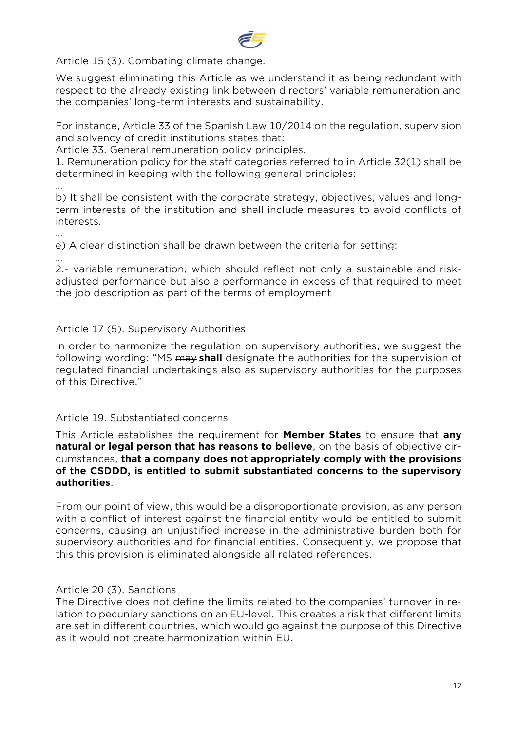

# Article 15 (3). Combating climate change.

We suggest eliminating this Article as we understand it as being redundant with respect to the already existing link between directors' variable remuneration and the companies' long-term interests and sustainability.

For instance, Article 33 of the Spanish Law 10/2014 on the regulation, supervision and solvency of credit institutions states that:

Article 33. General remuneration policy principles.

1. Remuneration policy for the staff categories referred to in Article 32(1) shall be determined in keeping with the following general principles:

…

b) It shall be consistent with the corporate strategy, objectives, values and longterm interests of the institution and shall include measures to avoid conflicts of interests.

…

e) A clear distinction shall be drawn between the criteria for setting:

… 2.- variable remuneration, which should reflect not only a sustainable and riskadjusted performance but also a performance in excess of that required to meet the job description as part of the terms of employment

# Article 17 (5). Supervisory Authorities

In order to harmonize the regulation on supervisory authorities, we suggest the following wording: "MS may **shall** designate the authorities for the supervision of regulated financial undertakings also as supervisory authorities for the purposes of this Directive."

# Article 19. Substantiated concerns

This Article establishes the requirement for **Member States** to ensure that **any natural or legal person that has reasons to believe**, on the basis of objective circumstances, **that a company does not appropriately comply with the provisions of the CSDDD, is entitled to submit substantiated concerns to the supervisory authorities**.

From our point of view, this would be a disproportionate provision, as any person with a conflict of interest against the financial entity would be entitled to submit concerns, causing an unjustified increase in the administrative burden both for supervisory authorities and for financial entities. Consequently, we propose that this this provision is eliminated alongside all related references.

# Article 20 (3). Sanctions

The Directive does not define the limits related to the companies' turnover in relation to pecuniary sanctions on an EU-level. This creates a risk that different limits are set in different countries, which would go against the purpose of this Directive as it would not create harmonization within EU.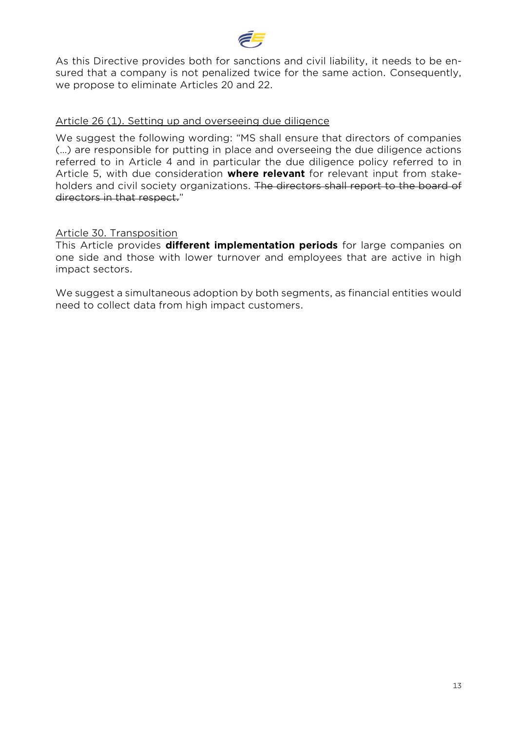

As this Directive provides both for sanctions and civil liability, it needs to be ensured that a company is not penalized twice for the same action. Consequently, we propose to eliminate Articles 20 and 22.

#### Article 26 (1). Setting up and overseeing due diligence

We suggest the following wording: "MS shall ensure that directors of companies (…) are responsible for putting in place and overseeing the due diligence actions referred to in Article 4 and in particular the due diligence policy referred to in Article 5, with due consideration **where relevant** for relevant input from stakeholders and civil society organizations. The directors shall report to the board of directors in that respect."

#### Article 30. Transposition

This Article provides **different implementation periods** for large companies on one side and those with lower turnover and employees that are active in high impact sectors.

We suggest a simultaneous adoption by both segments, as financial entities would need to collect data from high impact customers.